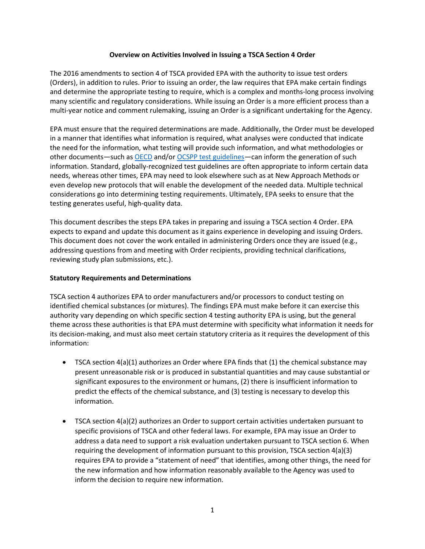## **Overview on Activities Involved in Issuing a TSCA Section 4 Order**

The 2016 amendments to section 4 of TSCA provided EPA with the authority to issue test orders (Orders), in addition to rules. Prior to issuing an order, the law requires that EPA make certain findings and determine the appropriate testing to require, which is a complex and months-long process involving many scientific and regulatory considerations. While issuing an Order is a more efficient process than a multi-year notice and comment rulemaking, issuing an Order is a significant undertaking for the Agency.

EPA must ensure that the required determinations are made. Additionally, the Order must be developed in a manner that identifies what information is required, what analyses were conducted that indicate the need for the information, what testing will provide such information, and what methodologies or other documents—such as [OECD](https://www.oecd.org/chemicalsafety/testing/oecdguidelinesforthetestingofchemicals.htm) and/or [OCSPP test guidelines—](https://www.epa.gov/sites/default/files/2019-10/documents/ocspp-testguidelines_masterlist-2019-09-24.pdf)can inform the generation of such information. Standard, globally-recognized test guidelines are often appropriate to inform certain data needs, whereas other times, EPA may need to look elsewhere such as at New Approach Methods or even develop new protocols that will enable the development of the needed data. Multiple technical considerations go into determining testing requirements. Ultimately, EPA seeks to ensure that the testing generates useful, high-quality data.

This document describes the steps EPA takes in preparing and issuing a TSCA section 4 Order. EPA expects to expand and update this document as it gains experience in developing and issuing Orders. This document does not cover the work entailed in administering Orders once they are issued (e.g., addressing questions from and meeting with Order recipients, providing technical clarifications, reviewing study plan submissions, etc.).

# **Statutory Requirements and Determinations**

TSCA section 4 authorizes EPA to order manufacturers and/or processors to conduct testing on identified chemical substances (or mixtures). The findings EPA must make before it can exercise this authority vary depending on which specific section 4 testing authority EPA is using, but the general theme across these authorities is that EPA must determine with specificity what information it needs for its decision-making, and must also meet certain statutory criteria as it requires the development of this information:

- TSCA section 4(a)(1) authorizes an Order where EPA finds that (1) the chemical substance may present unreasonable risk or is produced in substantial quantities and may cause substantial or significant exposures to the environment or humans, (2) there is insufficient information to predict the effects of the chemical substance, and (3) testing is necessary to develop this information.
- TSCA section 4(a)(2) authorizes an Order to support certain activities undertaken pursuant to specific provisions of TSCA and other federal laws. For example, EPA may issue an Order to address a data need to support a risk evaluation undertaken pursuant to TSCA section 6. When requiring the development of information pursuant to this provision, TSCA section 4(a)(3) requires EPA to provide a "statement of need" that identifies, among other things, the need for the new information and how information reasonably available to the Agency was used to inform the decision to require new information.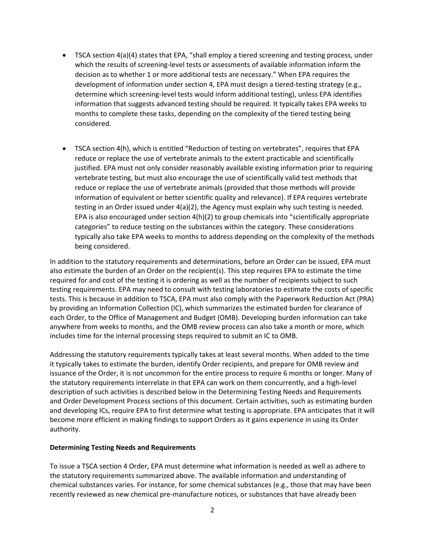- TSCA section 4(a)(4) states that EPA, "shall employ a tiered screening and testing process, under which the results of screening-level tests or assessments of available information inform the decision as to whether 1 or more additional tests are necessary." When EPA requires the development of information under section 4, EPA must design a tiered-testing strategy (e.g., determine which screening-level tests would inform additional testing), unless EPA identifies information that suggests advanced testing should be required. It typically takes EPA weeks to months to complete these tasks, depending on the complexity of the tiered testing being considered.
- TSCA section 4(h), which is entitled "Reduction of testing on vertebrates", requires that EPA reduce or replace the use of vertebrate animals to the extent practicable and scientifically justified. EPA must not only consider reasonably available existing information prior to requiring vertebrate testing, but must also encourage the use of scientifically valid test methods that reduce or replace the use of vertebrate animals (provided that those methods will provide information of equivalent or better scientific quality and relevance). If EPA requires vertebrate testing in an Order issued under 4(a)(2), the Agency must explain why such testing is needed. EPA is also encouraged under section 4(h)(2) to group chemicals into "scientifically appropriate categories" to reduce testing on the substances within the category. These considerations typically also take EPA weeks to months to address depending on the complexity of the methods being considered.

In addition to the statutory requirements and determinations, before an Order can be issued, EPA must also estimate the burden of an Order on the recipient(s). This step requires EPA to estimate the time required for and cost of the testing it is ordering as well as the number of recipients subject to such testing requirements. EPA may need to consult with testing laboratories to estimate the costs of specific tests. This is because in addition to TSCA, EPA must also comply with the Paperwork Reduction Act (PRA) by providing an Information Collection (IC), which summarizes the estimated burden for clearance of each Order, to the Office of Management and Budget (OMB). Developing burden information can take anywhere from weeks to months, and the OMB review process can also take a month or more, which includes time for the internal processing steps required to submit an IC to OMB.

Addressing the statutory requirements typically takes at least several months. When added to the time it typically takes to estimate the burden, identify Order recipients, and prepare for OMB review and issuance of the Order, it is not uncommon for the entire process to require 6 months or longer. Many of the statutory requirements interrelate in that EPA can work on them concurrently, and a high-level description of such activities is described below in the Determining Testing Needs and Requirements and Order Development Process sections of this document. Certain activities, such as estimating burden and developing ICs, require EPA to first determine what testing is appropriate. EPA anticipates that it will become more efficient in making findings to support Orders as it gains experience in using its Order authority.

### **Determining Testing Needs and Requirements**

To issue a TSCA section 4 Order, EPA must determine what information is needed as well as adhere to the statutory requirements summarized above. The available information and understanding of chemical substances varies. For instance, for some chemical substances (e.g., those that may have been recently reviewed as new chemical pre-manufacture notices, or substances that have already been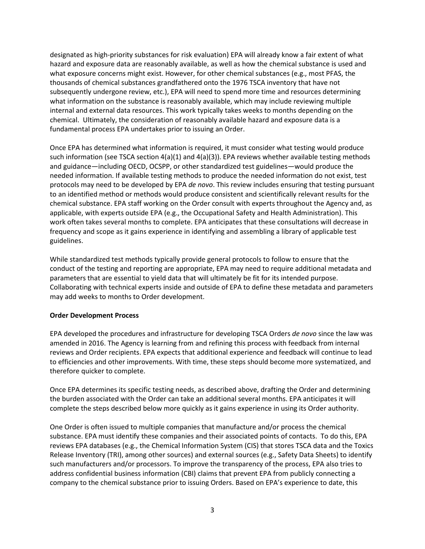designated as high-priority substances for risk evaluation) EPA will already know a fair extent of what hazard and exposure data are reasonably available, as well as how the chemical substance is used and what exposure concerns might exist. However, for other chemical substances (e.g., most PFAS, the thousands of chemical substances grandfathered onto the 1976 TSCA inventory that have not subsequently undergone review, etc.), EPA will need to spend more time and resources determining what information on the substance is reasonably available, which may include reviewing multiple internal and external data resources. This work typically takes weeks to months depending on the chemical. Ultimately, the consideration of reasonably available hazard and exposure data is a fundamental process EPA undertakes prior to issuing an Order.

Once EPA has determined what information is required, it must consider what testing would produce such information (see TSCA section  $4(a)(1)$  and  $4(a)(3)$ ). EPA reviews whether available testing methods and guidance—including OECD, OCSPP, or other standardized test guidelines—would produce the needed information. If available testing methods to produce the needed information do not exist, test protocols may need to be developed by EPA *de novo*. This review includes ensuring that testing pursuant to an identified method or methods would produce consistent and scientifically relevant results for the chemical substance. EPA staff working on the Order consult with experts throughout the Agency and, as applicable, with experts outside EPA (e.g., the Occupational Safety and Health Administration). This work often takes several months to complete. EPA anticipates that these consultations will decrease in frequency and scope as it gains experience in identifying and assembling a library of applicable test guidelines.

While standardized test methods typically provide general protocols to follow to ensure that the conduct of the testing and reporting are appropriate, EPA may need to require additional metadata and parameters that are essential to yield data that will ultimately be fit for its intended purpose. Collaborating with technical experts inside and outside of EPA to define these metadata and parameters may add weeks to months to Order development.

### **Order Development Process**

EPA developed the procedures and infrastructure for developing TSCA Orders *de novo* since the law was amended in 2016. The Agency is learning from and refining this process with feedback from internal reviews and Order recipients. EPA expects that additional experience and feedback will continue to lead to efficiencies and other improvements. With time, these steps should become more systematized, and therefore quicker to complete.

Once EPA determines its specific testing needs, as described above, drafting the Order and determining the burden associated with the Order can take an additional several months. EPA anticipates it will complete the steps described below more quickly as it gains experience in using its Order authority.

One Order is often issued to multiple companies that manufacture and/or process the chemical substance. EPA must identify these companies and their associated points of contacts. To do this, EPA reviews EPA databases (e.g., the Chemical Information System (CIS) that stores TSCA data and the Toxics Release Inventory (TRI), among other sources) and external sources (e.g., Safety Data Sheets) to identify such manufacturers and/or processors. To improve the transparency of the process, EPA also tries to address confidential business information (CBI) claims that prevent EPA from publicly connecting a company to the chemical substance prior to issuing Orders. Based on EPA's experience to date, this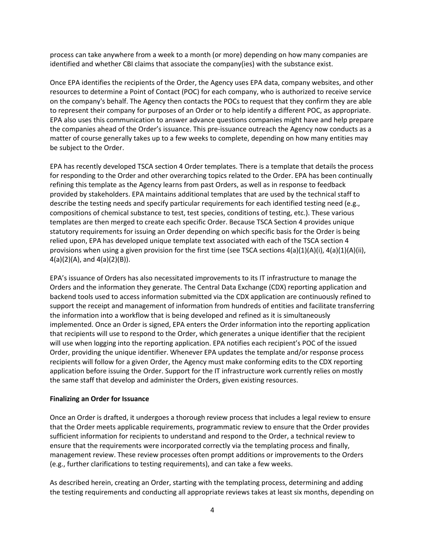process can take anywhere from a week to a month (or more) depending on how many companies are identified and whether CBI claims that associate the company(ies) with the substance exist.

Once EPA identifies the recipients of the Order, the Agency uses EPA data, company websites, and other resources to determine a Point of Contact (POC) for each company, who is authorized to receive service on the company's behalf. The Agency then contacts the POCs to request that they confirm they are able to represent their company for purposes of an Order or to help identify a different POC, as appropriate. EPA also uses this communication to answer advance questions companies might have and help prepare the companies ahead of the Order's issuance. This pre-issuance outreach the Agency now conducts as a matter of course generally takes up to a few weeks to complete, depending on how many entities may be subject to the Order.

EPA has recently developed TSCA section 4 Order templates. There is a template that details the process for responding to the Order and other overarching topics related to the Order. EPA has been continually refining this template as the Agency learns from past Orders, as well as in response to feedback provided by stakeholders. EPA maintains additional templates that are used by the technical staff to describe the testing needs and specify particular requirements for each identified testing need (e.g., compositions of chemical substance to test, test species, conditions of testing, etc.). These various templates are then merged to create each specific Order. Because TSCA Section 4 provides unique statutory requirements for issuing an Order depending on which specific basis for the Order is being relied upon, EPA has developed unique template text associated with each of the TSCA section 4 provisions when using a given provision for the first time (see TSCA sections  $4(a)(1)(A)(i)$ ,  $4(a)(1)(A)(ii)$ , 4(a)(2)(A), and 4(a)(2)(B)).

EPA's issuance of Orders has also necessitated improvements to its IT infrastructure to manage the Orders and the information they generate. The Central Data Exchange (CDX) reporting application and backend tools used to access information submitted via the CDX application are continuously refined to support the receipt and management of information from hundreds of entities and facilitate transferring the information into a workflow that is being developed and refined as it is simultaneously implemented. Once an Order is signed, EPA enters the Order information into the reporting application that recipients will use to respond to the Order, which generates a unique identifier that the recipient will use when logging into the reporting application. EPA notifies each recipient's POC of the issued Order, providing the unique identifier. Whenever EPA updates the template and/or response process recipients will follow for a given Order, the Agency must make conforming edits to the CDX reporting application before issuing the Order. Support for the IT infrastructure work currently relies on mostly the same staff that develop and administer the Orders, given existing resources.

### **Finalizing an Order for Issuance**

Once an Order is drafted, it undergoes a thorough review process that includes a legal review to ensure that the Order meets applicable requirements, programmatic review to ensure that the Order provides sufficient information for recipients to understand and respond to the Order, a technical review to ensure that the requirements were incorporated correctly via the templating process and finally, management review. These review processes often prompt additions or improvements to the Orders (e.g., further clarifications to testing requirements), and can take a few weeks.

As described herein, creating an Order, starting with the templating process, determining and adding the testing requirements and conducting all appropriate reviews takes at least six months, depending on